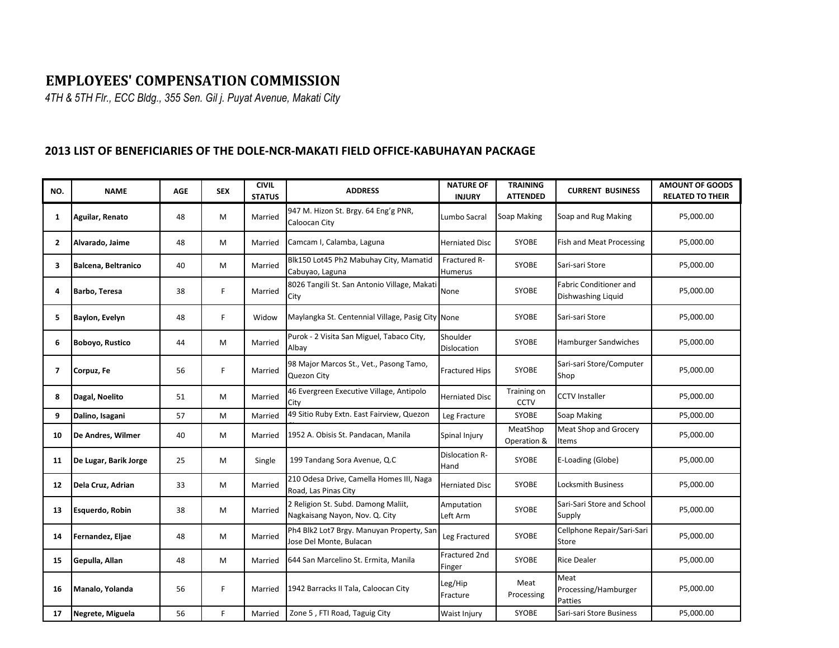## **EMPLOYEES' COMPENSATION COMMISSION**

*4TH & 5TH Flr., ECC Bldg., 355 Sen. Gil j. Puyat Avenue, Makati City*

## **2013 LIST OF BENEFICIARIES OF THE DOLE-NCR-MAKATI FIELD OFFICE-KABUHAYAN PACKAGE**

| NO.            | <b>NAME</b>            | <b>AGE</b> | <b>SEX</b> | <b>CIVIL</b><br><b>STATUS</b> | <b>ADDRESS</b>                                                        | <b>NATURE OF</b><br><b>INJURY</b> | <b>TRAINING</b><br><b>ATTENDED</b> | <b>CURRENT BUSINESS</b>                      | <b>AMOUNT OF GOODS</b><br><b>RELATED TO THEIR</b> |
|----------------|------------------------|------------|------------|-------------------------------|-----------------------------------------------------------------------|-----------------------------------|------------------------------------|----------------------------------------------|---------------------------------------------------|
| 1              | Aguilar, Renato        | 48         | M          | Married                       | 947 M. Hizon St. Brgy. 64 Eng'g PNR,<br>Caloocan City                 | Lumbo Sacral                      | Soap Making                        | Soap and Rug Making                          | P5,000.00                                         |
| $\overline{2}$ | Alvarado, Jaime        | 48         | M          | Married                       | Camcam I, Calamba, Laguna                                             | <b>Herniated Disc</b>             | <b>SYOBE</b>                       | Fish and Meat Processing                     | P5,000.00                                         |
| 3              | Balcena, Beltranico    | 40         | M          | Married                       | Blk150 Lot45 Ph2 Mabuhay City, Mamatid<br>Cabuyao, Laguna             | Fractured R-<br>Humerus           | <b>SYOBE</b>                       | Sari-sari Store                              | P5,000.00                                         |
| 4              | <b>Barbo, Teresa</b>   | 38         | F.         | Married                       | 8026 Tangili St. San Antonio Village, Makati<br>City                  | None                              | SYOBE                              | Fabric Conditioner and<br>Dishwashing Liquid | P5,000.00                                         |
| 5              | Baylon, Evelyn         | 48         | F.         | Widow                         | Maylangka St. Centennial Village, Pasig City None                     |                                   | SYOBE                              | Sari-sari Store                              | P5,000.00                                         |
| 6              | <b>Boboyo, Rustico</b> | 44         | M          | Married                       | Purok - 2 Visita San Miguel, Tabaco City,<br>Albay                    | Shoulder<br><b>Dislocation</b>    | <b>SYOBE</b>                       | <b>Hamburger Sandwiches</b>                  | P5,000.00                                         |
| 7              | Corpuz, Fe             | 56         | F.         | Married                       | 98 Major Marcos St., Vet., Pasong Tamo,<br>Quezon City                | <b>Fractured Hips</b>             | SYOBE                              | Sari-sari Store/Computer<br>Shop             | P5,000.00                                         |
| 8              | Dagal, Noelito         | 51         | М          | Married                       | 46 Evergreen Executive Village, Antipolo<br>City                      | Herniated Disc                    | Training on<br>CCTV                | <b>CCTV Installer</b>                        | P5,000.00                                         |
| 9              | Dalino, Isagani        | 57         | M          | Married                       | 49 Sitio Ruby Extn. East Fairview, Quezon                             | Leg Fracture                      | SYOBE                              | Soap Making                                  | P5,000.00                                         |
| 10             | De Andres, Wilmer      | 40         | M          | Married                       | 1952 A. Obisis St. Pandacan, Manila                                   | Spinal Injury                     | MeatShop<br>Operation &            | Meat Shop and Grocery<br>Items               | P5,000.00                                         |
| 11             | De Lugar, Barik Jorge  | 25         | M          | Single                        | 199 Tandang Sora Avenue, Q.C                                          | Dislocation R-<br>Hand            | SYOBE                              | E-Loading (Globe)                            | P5,000.00                                         |
| 12             | Dela Cruz, Adrian      | 33         | M          | Married                       | 210 Odesa Drive, Camella Homes III, Naga<br>Road, Las Pinas City      | <b>Herniated Disc</b>             | <b>SYOBE</b>                       | <b>Locksmith Business</b>                    | P5,000.00                                         |
| 13             | Esquerdo, Robin        | 38         | M          | Married                       | 2 Religion St. Subd. Damong Maliit,<br>Nagkaisang Nayon, Nov. Q. City | Amputation<br>Left Arm            | SYOBE                              | Sari-Sari Store and School<br>Supply         | P5,000.00                                         |
| 14             | Fernandez, Eljae       | 48         | M          | Married                       | Ph4 Blk2 Lot7 Brgy. Manuyan Property, San<br>Jose Del Monte, Bulacan  | Leg Fractured                     | <b>SYOBE</b>                       | Cellphone Repair/Sari-Sari<br><b>Store</b>   | P5,000.00                                         |
| 15             | Gepulla, Allan         | 48         | M          | Married                       | 644 San Marcelino St. Ermita, Manila                                  | Fractured 2nd<br>Finger           | <b>SYOBE</b>                       | <b>Rice Dealer</b>                           | P5,000.00                                         |
| 16             | Manalo, Yolanda        | 56         | F          | Married                       | 1942 Barracks II Tala, Caloocan City                                  | Leg/Hip<br>Fracture               | Meat<br>Processing                 | Meat<br>Processing/Hamburger<br>Patties      | P5,000.00                                         |
| 17             | Negrete, Miguela       | 56         | F.         | Married                       | Zone 5, FTI Road, Taguig City                                         | Waist Injury                      | SYOBE                              | Sari-sari Store Business                     | P5,000.00                                         |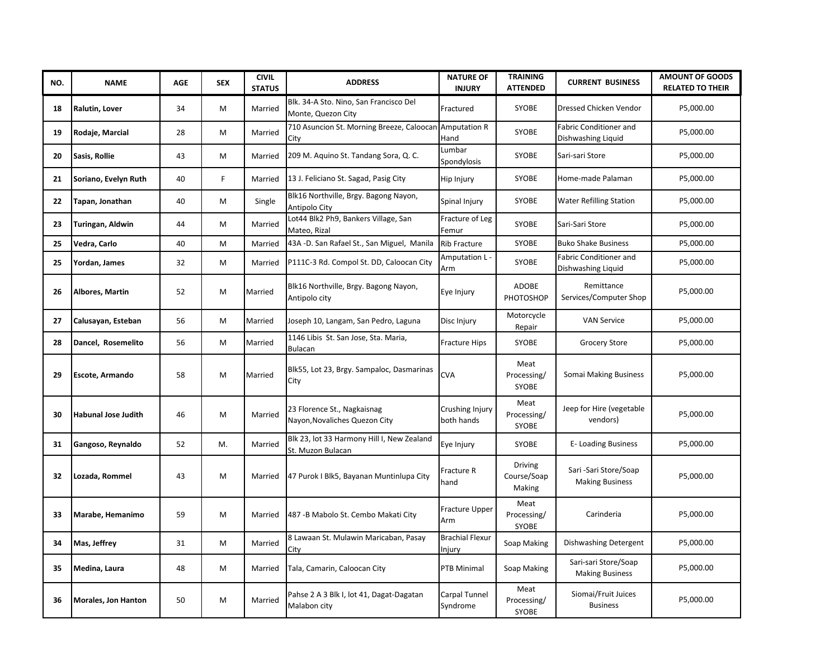| NO. | <b>NAME</b>            | <b>AGE</b> | <b>SEX</b> | <b>CIVIL</b><br><b>STATUS</b> | <b>ADDRESS</b>                                                  | <b>NATURE OF</b><br><b>INJURY</b> | <b>TRAINING</b><br><b>ATTENDED</b> | <b>CURRENT BUSINESS</b>                         | <b>AMOUNT OF GOODS</b><br><b>RELATED TO THEIR</b> |
|-----|------------------------|------------|------------|-------------------------------|-----------------------------------------------------------------|-----------------------------------|------------------------------------|-------------------------------------------------|---------------------------------------------------|
| 18  | Ralutin, Lover         | 34         | M          | Married                       | Blk. 34-A Sto. Nino, San Francisco Del<br>Monte, Quezon City    | Fractured                         | SYOBE                              | Dressed Chicken Vendor                          | P5,000.00                                         |
| 19  | Rodaje, Marcial        | 28         | M          | Married                       | 710 Asuncion St. Morning Breeze, Caloocan Amputation R<br>City  | Hand                              | SYOBE                              | Fabric Conditioner and<br>Dishwashing Liquid    | P5,000.00                                         |
| 20  | Sasis, Rollie          | 43         | M          | Married                       | 209 M. Aquino St. Tandang Sora, Q. C.                           | Lumbar<br>Spondylosis             | SYOBE                              | Sari-sari Store                                 | P5,000.00                                         |
| 21  | Soriano, Evelyn Ruth   | 40         | F.         | Married                       | 13 J. Feliciano St. Sagad, Pasig City                           | Hip Injury                        | SYOBE                              | Home-made Palaman                               | P5,000.00                                         |
| 22  | Tapan, Jonathan        | 40         | M          | Single                        | Blk16 Northville, Brgy. Bagong Nayon,<br>Antipolo City          | Spinal Injury                     | SYOBE                              | <b>Water Refilling Station</b>                  | P5,000.00                                         |
| 23  | Turingan, Aldwin       | 44         | M          | Married                       | Lot44 Blk2 Ph9, Bankers Village, San<br>Mateo, Rizal            | Fracture of Leg<br>Femur          | SYOBE                              | Sari-Sari Store                                 | P5,000.00                                         |
| 25  | Vedra, Carlo           | 40         | M          | Married                       | 43A -D. San Rafael St., San Miguel, Manila                      | <b>Rib Fracture</b>               | SYOBE                              | <b>Buko Shake Business</b>                      | P5,000.00                                         |
| 25  | Yordan, James          | 32         | M          | Married                       | P111C-3 Rd. Compol St. DD, Caloocan City                        | Amputation L<br>Arm               | SYOBE                              | Fabric Conditioner and<br>Dishwashing Liquid    | P5,000.00                                         |
| 26  | Albores, Martin        | 52         | M          | Married                       | Blk16 Northville, Brgy. Bagong Nayon,<br>Antipolo city          | Eye Injury                        | ADOBE<br>PHOTOSHOP                 | Remittance<br>Services/Computer Shop            | P5,000.00                                         |
| 27  | Calusayan, Esteban     | 56         | M          | Married                       | Joseph 10, Langam, San Pedro, Laguna                            | Disc Injury                       | Motorcycle<br>Repair               | <b>VAN Service</b>                              | P5,000.00                                         |
| 28  | Dancel, Rosemelito     | 56         | М          | Married                       | 1146 Libis St. San Jose, Sta. Maria,<br><b>Bulacan</b>          | Fracture Hips                     | SYOBE                              | <b>Grocery Store</b>                            | P5,000.00                                         |
| 29  | <b>Escote, Armando</b> | 58         | M          | Married                       | Blk55, Lot 23, Brgy. Sampaloc, Dasmarinas<br>City               | <b>CVA</b>                        | Meat<br>Processing/<br>SYOBE       | Somai Making Business                           | P5,000.00                                         |
| 30  | Habunal Jose Judith    | 46         | M          | Married                       | 23 Florence St., Nagkaisnag<br>Nayon, Novaliches Quezon City    | Crushing Injury<br>both hands     | Meat<br>Processing/<br>SYOBE       | Jeep for Hire (vegetable<br>vendors)            | P5,000.00                                         |
| 31  | Gangoso, Reynaldo      | 52         | M.         | Married                       | Blk 23, lot 33 Harmony Hill I, New Zealand<br>St. Muzon Bulacan | Eye Injury                        | SYOBE                              | E- Loading Business                             | P5,000.00                                         |
| 32  | Lozada, Rommel         | 43         | M          | Married                       | 47 Purok I Blk5, Bayanan Muntinlupa City                        | Fracture R<br>hand                | Driving<br>Course/Soap<br>Making   | Sari -Sari Store/Soap<br><b>Making Business</b> | P5,000.00                                         |
| 33  | Marabe, Hemanimo       | 59         | M          | Married                       | 487 - B Mabolo St. Cembo Makati City                            | <b>Fracture Upper</b><br>Arm      | Meat<br>Processing/<br>SYOBE       | Carinderia                                      | P5,000.00                                         |
| 34  | Mas, Jeffrey           | 31         | M          | Married                       | 8 Lawaan St. Mulawin Maricaban, Pasay<br>City                   | <b>Brachial Flexur</b><br>Injury  | Soap Making                        | Dishwashing Detergent                           | P5,000.00                                         |
| 35  | Medina, Laura          | 48         | M          | Married                       | Tala, Camarin, Caloocan City                                    | PTB Minimal                       | Soap Making                        | Sari-sari Store/Soap<br><b>Making Business</b>  | P5,000.00                                         |
| 36  | Morales, Jon Hanton    | 50         | M          | Married                       | Pahse 2 A 3 Blk I, lot 41, Dagat-Dagatan<br>Malabon city        | Carpal Tunnel<br>Syndrome         | Meat<br>Processing/<br>SYOBE       | Siomai/Fruit Juices<br><b>Business</b>          | P5,000.00                                         |